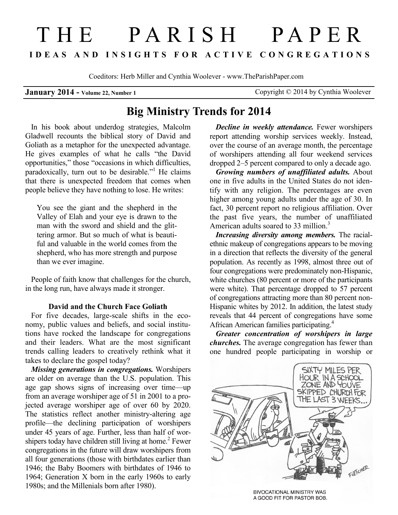# THE PARISH PAPER **I D E A S A N D I N S I G H T S F O R A C T I V E C O N G R E G A T I O N S**

Coeditors: Herb Miller and Cynthia Woolever - www.TheParishPaper.com

**January 2014 - Volume 22, Number 1 Copyright © 2014 by Cynthia Woolever** 

# **Big Ministry Trends for 2014**

In his book about underdog strategies, Malcolm Gladwell recounts the biblical story of David and Goliath as a metaphor for the unexpected advantage. He gives examples of what he calls "the David opportunities," those "occasions in which difficulties, paradoxically, turn out to be desirable."<sup>1</sup> He claims that there is unexpected freedom that comes when people believe they have nothing to lose. He writes:

You see the giant and the shepherd in the Valley of Elah and your eye is drawn to the man with the sword and shield and the glittering armor. But so much of what is beautiful and valuable in the world comes from the shepherd, who has more strength and purpose than we ever imagine.

People of faith know that challenges for the church, in the long run, have always made it stronger.

### **David and the Church Face Goliath**

For five decades, large-scale shifts in the economy, public values and beliefs, and social institutions have rocked the landscape for congregations and their leaders. What are the most significant trends calling leaders to creatively rethink what it takes to declare the gospel today?

*Missing generations in congregations.* Worshipers are older on average than the U.S. population. This age gap shows signs of increasing over time—up from an average worshiper age of 51 in 2001 to a projected average worshiper age of over 60 by 2020. The statistics reflect another ministry-altering age profile—the declining participation of worshipers under 45 years of age. Further, less than half of worshipers today have children still living at home.<sup>2</sup> Fewer congregations in the future will draw worshipers from all four generations (those with birthdates earlier than 1946; the Baby Boomers with birthdates of 1946 to 1964; Generation X born in the early 1960s to early 1980s; and the Millenials born after 1980).

*Decline in weekly attendance.* Fewer worshipers report attending worship services weekly. Instead, over the course of an average month, the percentage of worshipers attending all four weekend services dropped 2–5 percent compared to only a decade ago.

*Growing numbers of unaffiliated adults.* About one in five adults in the United States do not identify with any religion. The percentages are even higher among young adults under the age of 30. In fact, 30 percent report no religious affiliation. Over the past five years, the number of unaffiliated American adults soared to 33 million.<sup>3</sup>

*Increasing diversity among members.* The racialethnic makeup of congregations appears to be moving in a direction that reflects the diversity of the general population. As recently as 1998, almost three out of four congregations were predominately non-Hispanic, white churches (80 percent or more of the participants were white). That percentage dropped to 57 percent of congregations attracting more than 80 percent non-Hispanic whites by 2012. In addition, the latest study reveals that 44 percent of congregations have some African American families participating.<sup>4</sup>

*Greater concentration of worshipers in large churches.* The average congregation has fewer than one hundred people participating in worship or



**BIVOCATIONAL MINISTRY WAS** A GOOD FIT FOR PASTOR BOB.